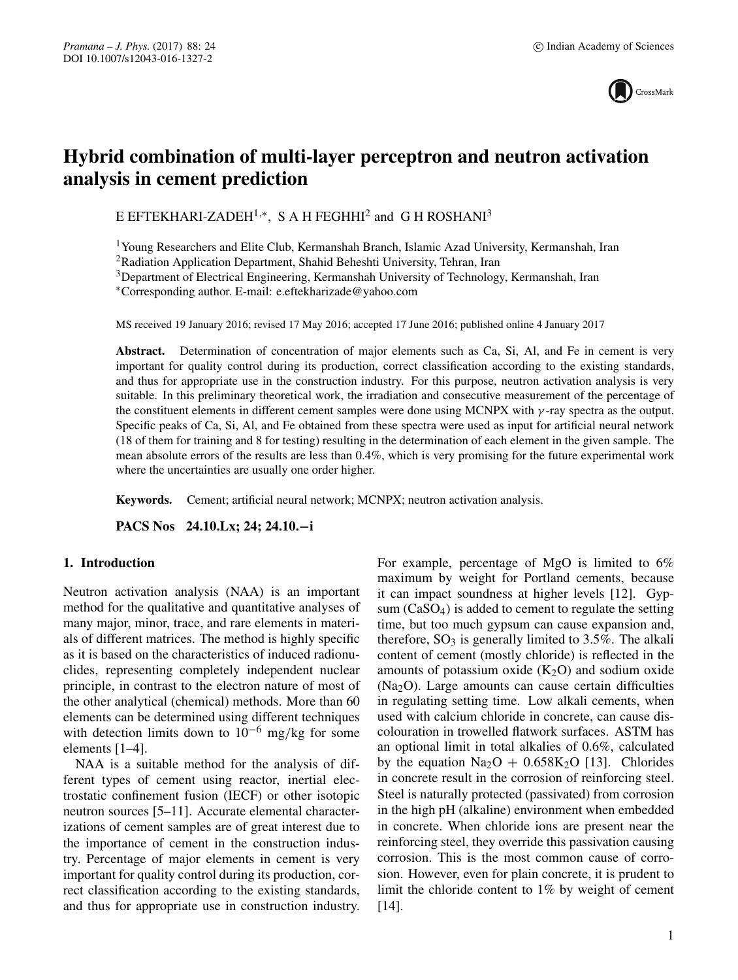

# **Hybrid combination of multi-layer perceptron and neutron activation analysis in cement prediction**

E EFTEKHARI-ZADEH1,∗, S A H FEGHHI2 and G H ROSHANI3

1Young Researchers and Elite Club, Kermanshah Branch, Islamic Azad University, Kermanshah, Iran

2Radiation Application Department, Shahid Beheshti University, Tehran, Iran

3Department of Electrical Engineering, Kermanshah University of Technology, Kermanshah, Iran

∗Corresponding author. E-mail: e.eftekharizade@yahoo.com

MS received 19 January 2016; revised 17 May 2016; accepted 17 June 2016; published online 4 January 2017

Abstract. Determination of concentration of major elements such as Ca, Si, Al, and Fe in cement is very important for quality control during its production, correct classification according to the existing standards, and thus for appropriate use in the construction industry. For this purpose, neutron activation analysis is very suitable. In this preliminary theoretical work, the irradiation and consecutive measurement of the percentage of the constituent elements in different cement samples were done using MCNPX with  $\gamma$ -ray spectra as the output. Specific peaks of Ca, Si, Al, and Fe obtained from these spectra were used as input for artificial neural network (18 of them for training and 8 for testing) resulting in the determination of each element in the given sample. The mean absolute errors of the results are less than 0.4%, which is very promising for the future experimental work where the uncertainties are usually one order higher.

**Keywords.** Cement; artificial neural network; MCNPX; neutron activation analysis.

**PACS Nos 24.10.Lx; 24; 24.10.−i**

# **1. Introduction**

Neutron activation analysis (NAA) is an important method for the qualitative and quantitative analyses of many major, minor, trace, and rare elements in materials of different matrices. The method is highly specific as it is based on the characteristics of induced radionuclides, representing completely independent nuclear principle, in contrast to the electron nature of most of the other analytical (chemical) methods. More than 60 elements can be determined using different techniques with detection limits down to  $10^{-6}$  mg/kg for some elements [1–4].

NAA is a suitable method for the analysis of different types of cement using reactor, inertial electrostatic confinement fusion (IECF) or other isotopic neutron sources [5–11]. Accurate elemental characterizations of cement samples are of great interest due to the importance of cement in the construction industry. Percentage of major elements in cement is very important for quality control during its production, correct classification according to the existing standards, and thus for appropriate use in construction industry. For example, percentage of MgO is limited to 6% maximum by weight for Portland cements, because it can impact soundness at higher levels [12]. Gypsum (CaSO4) is added to cement to regulate the setting time, but too much gypsum can cause expansion and, therefore,  $SO_3$  is generally limited to 3.5%. The alkali content of cement (mostly chloride) is reflected in the amounts of potassium oxide  $(K_2O)$  and sodium oxide (Na2O). Large amounts can cause certain difficulties in regulating setting time. Low alkali cements, when used with calcium chloride in concrete, can cause discolouration in trowelled flatwork surfaces. ASTM has an optional limit in total alkalies of 0.6%, calculated by the equation  $Na<sub>2</sub>O + 0.658K<sub>2</sub>O$  [13]. Chlorides in concrete result in the corrosion of reinforcing steel. Steel is naturally protected (passivated) from corrosion in the high pH (alkaline) environment when embedded in concrete. When chloride ions are present near the reinforcing steel, they override this passivation causing corrosion. This is the most common cause of corrosion. However, even for plain concrete, it is prudent to limit the chloride content to 1% by weight of cement [14].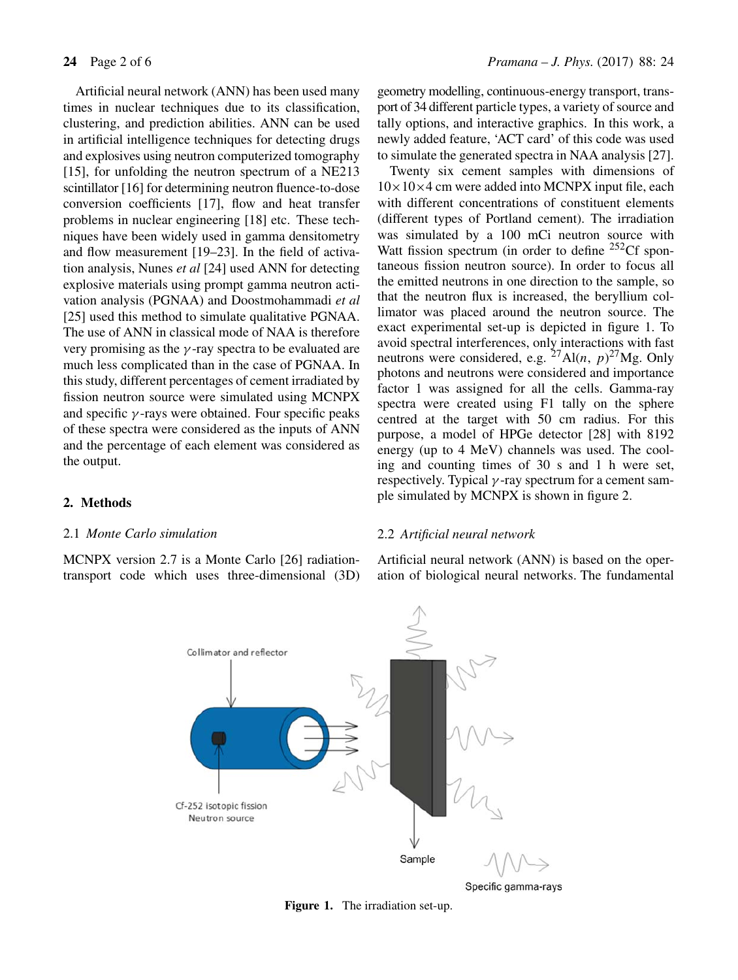Artificial neural network (ANN) has been used many times in nuclear techniques due to its classification, clustering, and prediction abilities. ANN can be used in artificial intelligence techniques for detecting drugs and explosives using neutron computerized tomography [15], for unfolding the neutron spectrum of a NE213 scintillator [16] for determining neutron fluence-to-dose conversion coefficients [17], flow and heat transfer problems in nuclear engineering [18] etc. These techniques have been widely used in gamma densitometry and flow measurement [19–23]. In the field of activation analysis, Nunes *et al* [24] used ANN for detecting explosive materials using prompt gamma neutron activation analysis (PGNAA) and Doostmohammadi *et al* [25] used this method to simulate qualitative PGNAA. The use of ANN in classical mode of NAA is therefore very promising as the  $\gamma$ -ray spectra to be evaluated are much less complicated than in the case of PGNAA. In this study, different percentages of cement irradiated by fission neutron source were simulated using MCNPX and specific  $\gamma$ -rays were obtained. Four specific peaks of these spectra were considered as the inputs of ANN and the percentage of each element was considered as the output.

geometry modelling, continuous-energy transport, transport of 34 different particle types, a variety of source and tally options, and interactive graphics. In this work, a newly added feature, 'ACT card' of this code was used to simulate the generated spectra in NAA analysis [27].

Twenty six cement samples with dimensions of  $10\times10\times4$  cm were added into MCNPX input file, each with different concentrations of constituent elements (different types of Portland cement). The irradiation was simulated by a 100 mCi neutron source with Watt fission spectrum (in order to define <sup>252</sup>Cf spontaneous fission neutron source). In order to focus all the emitted neutrons in one direction to the sample, so that the neutron flux is increased, the beryllium collimator was placed around the neutron source. The exact experimental set-up is depicted in figure 1. To avoid spectral interferences, only interactions with fast neutrons were considered, e.g.  ${}^{27}$ Al(n, p)<sup>27</sup>Mg. Only photons and neutrons were considered and importance factor 1 was assigned for all the cells. Gamma-ray spectra were created using F1 tally on the sphere centred at the target with 50 cm radius. For this purpose, a model of HPGe detector [28] with 8192 energy (up to 4 MeV) channels was used. The cooling and counting times of 30 s and 1 h were set, respectively. Typical  $\gamma$ -ray spectrum for a cement sample simulated by MCNPX is shown in figure 2.

# **2. Methods**

# 2.1 *Monte Carlo simulation*

MCNPX version 2.7 is a Monte Carlo [26] radiationtransport code which uses three-dimensional (3D)

## 2.2 *Artificial neural network*

Artificial neural network (ANN) is based on the operation of biological neural networks. The fundamental



Specific gamma-rays

**Figure 1.** The irradiation set-up.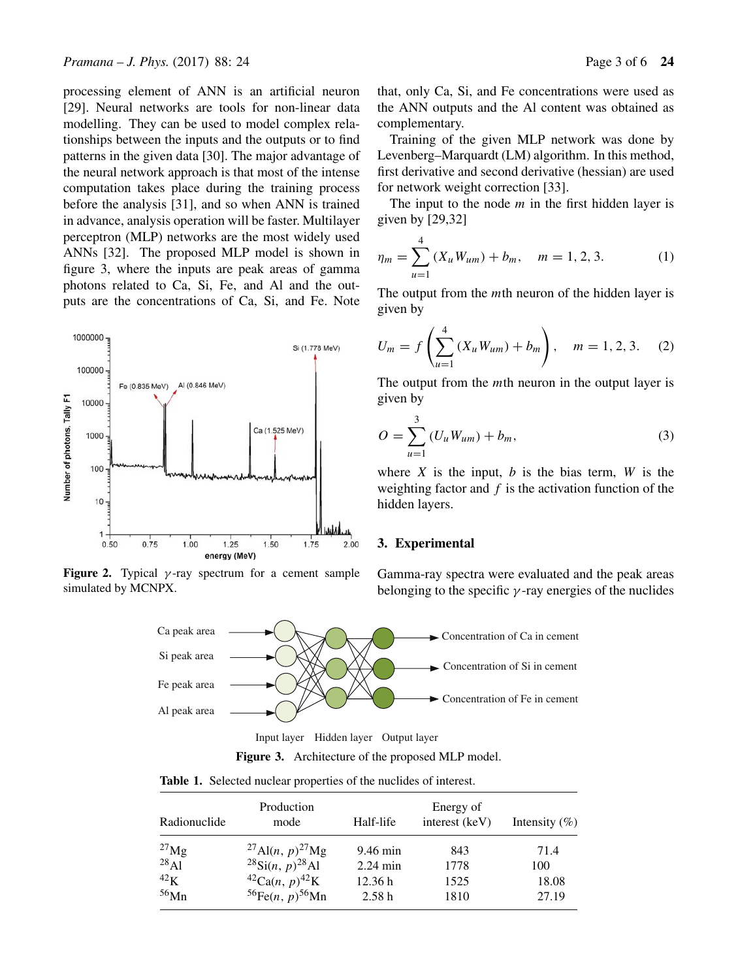processing element of ANN is an artificial neuron [29]. Neural networks are tools for non-linear data modelling. They can be used to model complex relationships between the inputs and the outputs or to find patterns in the given data [30]. The major advantage of the neural network approach is that most of the intense computation takes place during the training process before the analysis [31], and so when ANN is trained in advance, analysis operation will be faster. Multilayer perceptron (MLP) networks are the most widely used ANNs [32]. The proposed MLP model is shown in figure 3, where the inputs are peak areas of gamma photons related to Ca, Si, Fe, and Al and the outputs are the concentrations of Ca, Si, and Fe. Note



**Figure 2.** Typical  $\gamma$ -ray spectrum for a cement sample simulated by MCNPX.

that, only Ca, Si, and Fe concentrations were used as the ANN outputs and the Al content was obtained as complementary.

Training of the given MLP network was done by Levenberg–Marquardt (LM) algorithm. In this method, first derivative and second derivative (hessian) are used for network weight correction [33].

The input to the node  $m$  in the first hidden layer is given by [29,32]

$$
\eta_m = \sum_{u=1}^{4} (X_u W_{um}) + b_m, \quad m = 1, 2, 3. \tag{1}
$$

The output from the *mth* neuron of the hidden layer is given by

$$
U_m = f\left(\sum_{u=1}^4 (X_u W_{um}) + b_m\right), \quad m = 1, 2, 3. \quad (2)
$$

The output from the *mth* neuron in the output layer is given by

$$
O = \sum_{u=1}^{3} (U_u W_{um}) + b_m,
$$
 (3)

where  $X$  is the input,  $b$  is the bias term,  $W$  is the weighting factor and  $f$  is the activation function of the hidden layers.

#### **3. Experimental**

Gamma-ray spectra were evaluated and the peak areas belonging to the specific  $\gamma$ -ray energies of the nuclides



Input layer Hidden layer Output layer



**Table 1.** Selected nuclear properties of the nuclides of interest.

| Radionuclide | Production<br>mode                                  | Half-life          | Energy of<br>interest (keV) | Intensity $(\%)$ |
|--------------|-----------------------------------------------------|--------------------|-----------------------------|------------------|
| $^{27}$ Mg   | <sup>27</sup> Al( <i>n</i> , $p$ ) <sup>27</sup> Mg | $9.46 \text{ min}$ | 843                         | 71.4             |
| $^{28}$ Al   | $^{28}$ Si(n, p) <sup>28</sup> Al                   | $2.24 \text{ min}$ | 1778                        | 100              |
| 42K          | ${}^{42}Ca(n, p)^{42}K$                             | 12.36h             | 1525                        | 18.08            |
| $56$ Mn      | ${}^{56}Fe(n, p) {}^{56}Mn$                         | 2.58h              | 1810                        | 27.19            |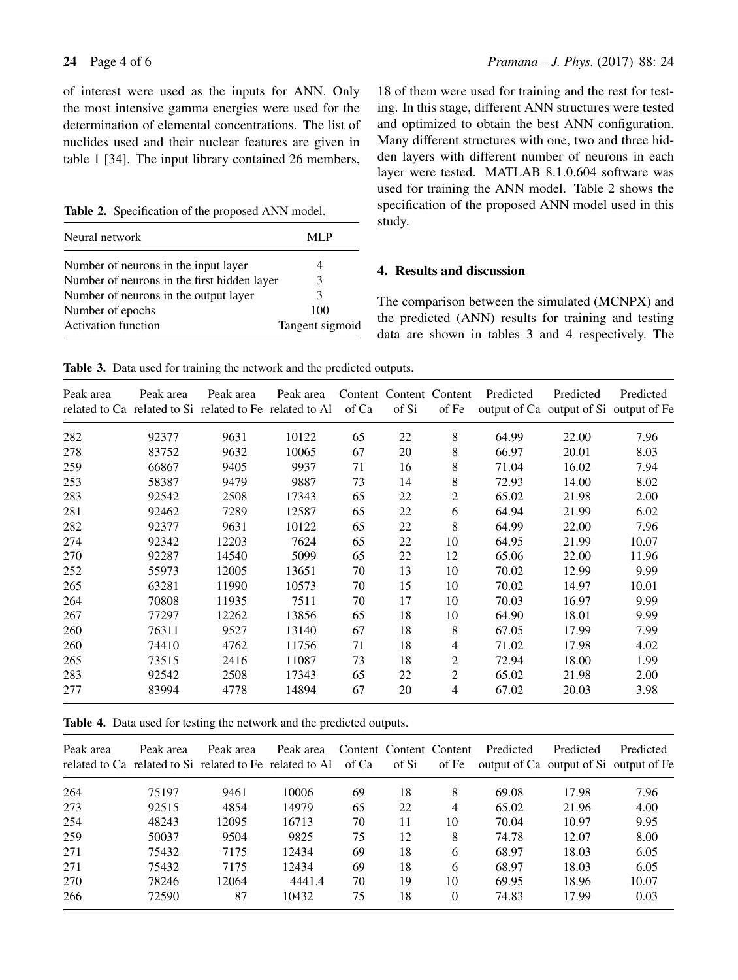of interest were used as the inputs for ANN. Only the most intensive gamma energies were used for the determination of elemental concentrations. The list of nuclides used and their nuclear features are given in table 1 [34]. The input library contained 26 members,

**Table 2.** Specification of the proposed ANN model.

| Neural network                              | ML P            |
|---------------------------------------------|-----------------|
| Number of neurons in the input layer        | 4               |
| Number of neurons in the first hidden layer | 3               |
| Number of neurons in the output layer       | 3               |
| Number of epochs                            | 100             |
| <b>Activation function</b>                  | Tangent sigmoid |

18 of them were used for training and the rest for testing. In this stage, different ANN structures were tested and optimized to obtain the best ANN configuration. Many different structures with one, two and three hidden layers with different number of neurons in each layer were tested. MATLAB 8.1.0.604 software was used for training the ANN model. Table 2 shows the specification of the proposed ANN model used in this study.

# **4. Results and discussion**

The comparison between the simulated (MCNPX) and the predicted (ANN) results for training and testing data are shown in tables 3 and 4 respectively. The

**Table 3.** Data used for training the network and the predicted outputs.

| Peak area | Peak area | Peak area<br>related to Ca related to Si related to Fe related to Al | Peak area | of Ca | of Si | Content Content Content<br>of Fe | Predicted | Predicted<br>output of Ca output of Si output of Fe | Predicted |
|-----------|-----------|----------------------------------------------------------------------|-----------|-------|-------|----------------------------------|-----------|-----------------------------------------------------|-----------|
| 282       | 92377     | 9631                                                                 | 10122     | 65    | 22    | 8                                | 64.99     | 22.00                                               | 7.96      |
| 278       | 83752     | 9632                                                                 | 10065     | 67    | 20    | 8                                | 66.97     | 20.01                                               | 8.03      |
| 259       | 66867     | 9405                                                                 | 9937      | 71    | 16    | 8                                | 71.04     | 16.02                                               | 7.94      |
| 253       | 58387     | 9479                                                                 | 9887      | 73    | 14    | 8                                | 72.93     | 14.00                                               | 8.02      |
| 283       | 92542     | 2508                                                                 | 17343     | 65    | 22    | 2                                | 65.02     | 21.98                                               | 2.00      |
| 281       | 92462     | 7289                                                                 | 12587     | 65    | 22    | 6                                | 64.94     | 21.99                                               | 6.02      |
| 282       | 92377     | 9631                                                                 | 10122     | 65    | 22    | 8                                | 64.99     | 22.00                                               | 7.96      |
| 274       | 92342     | 12203                                                                | 7624      | 65    | 22    | 10                               | 64.95     | 21.99                                               | 10.07     |
| 270       | 92287     | 14540                                                                | 5099      | 65    | 22    | 12                               | 65.06     | 22.00                                               | 11.96     |
| 252       | 55973     | 12005                                                                | 13651     | 70    | 13    | 10                               | 70.02     | 12.99                                               | 9.99      |
| 265       | 63281     | 11990                                                                | 10573     | 70    | 15    | 10                               | 70.02     | 14.97                                               | 10.01     |
| 264       | 70808     | 11935                                                                | 7511      | 70    | 17    | 10                               | 70.03     | 16.97                                               | 9.99      |
| 267       | 77297     | 12262                                                                | 13856     | 65    | 18    | 10                               | 64.90     | 18.01                                               | 9.99      |
| 260       | 76311     | 9527                                                                 | 13140     | 67    | 18    | 8                                | 67.05     | 17.99                                               | 7.99      |
| 260       | 74410     | 4762                                                                 | 11756     | 71    | 18    | $\overline{4}$                   | 71.02     | 17.98                                               | 4.02      |
| 265       | 73515     | 2416                                                                 | 11087     | 73    | 18    | 2                                | 72.94     | 18.00                                               | 1.99      |
| 283       | 92542     | 2508                                                                 | 17343     | 65    | 22    | 2                                | 65.02     | 21.98                                               | 2.00      |
| 277       | 83994     | 4778                                                                 | 14894     | 67    | 20    | 4                                | 67.02     | 20.03                                               | 3.98      |

**Table 4.** Data used for testing the network and the predicted outputs.

| Peak area | Peak area | Peak area | Peak area<br>related to Ca related to Si related to Fe related to Al | of Ca | of Si | Content Content Content<br>of Fe | Predicted<br>output of Ca output of Si output of Fe | Predicted | Predicted |
|-----------|-----------|-----------|----------------------------------------------------------------------|-------|-------|----------------------------------|-----------------------------------------------------|-----------|-----------|
| 264       | 75197     | 9461      | 10006                                                                | 69    | 18    | 8                                | 69.08                                               | 17.98     | 7.96      |
| 273       | 92515     | 4854      | 14979                                                                | 65    | 22    | $\overline{4}$                   | 65.02                                               | 21.96     | 4.00      |
| 254       | 48243     | 12095     | 16713                                                                | 70    | 11    | 10                               | 70.04                                               | 10.97     | 9.95      |
| 259       | 50037     | 9504      | 9825                                                                 | 75    | 12    | 8                                | 74.78                                               | 12.07     | 8.00      |
| 271       | 75432     | 7175      | 12434                                                                | 69    | 18    | 6                                | 68.97                                               | 18.03     | 6.05      |
| 271       | 75432     | 7175      | 12434                                                                | 69    | 18    | 6                                | 68.97                                               | 18.03     | 6.05      |
| 270       | 78246     | 12064     | 4441.4                                                               | 70    | 19    | 10                               | 69.95                                               | 18.96     | 10.07     |
| 266       | 72590     | 87        | 10432                                                                | 75    | 18    | $\Omega$                         | 74.83                                               | 17.99     | 0.03      |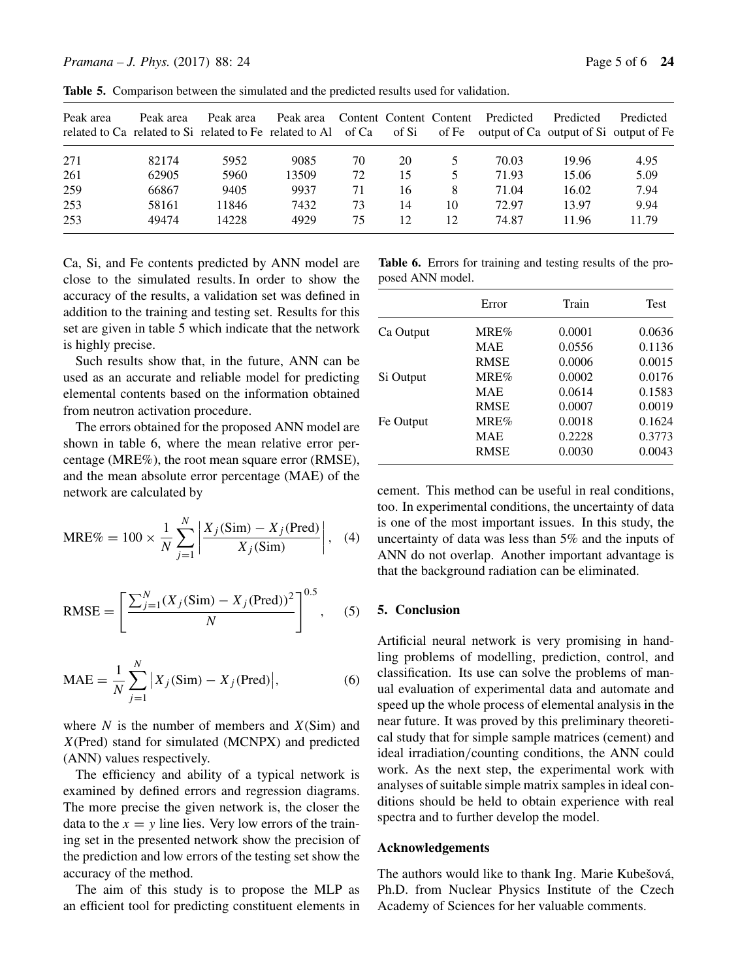| Peak area | Peak area | Peak area | Peak area<br>related to Ca related to Si related to Fe related to Al | of Ca | of Si | Content Content Content<br>of Fe | Predicted<br>output of Ca output of Si output of Fe | Predicted | Predicted |
|-----------|-----------|-----------|----------------------------------------------------------------------|-------|-------|----------------------------------|-----------------------------------------------------|-----------|-----------|
| 271       | 82174     | 5952      | 9085                                                                 | 70    | 20    | 5.                               | 70.03                                               | 19.96     | 4.95      |
| 261       | 62905     | 5960      | 13509                                                                | 72    | 15    | 5.                               | 71.93                                               | 15.06     | 5.09      |
| 259       | 66867     | 9405      | 9937                                                                 | 71    | 16    | 8                                | 71.04                                               | 16.02     | 7.94      |
| 253       | 58161     | 11846     | 7432                                                                 | 73    | 14    | 10                               | 72.97                                               | 13.97     | 9.94      |
| 253       | 49474     | 14228     | 4929                                                                 | 75    | 12    | 12                               | 74.87                                               | 11.96     | 11.79     |

**Table 5.** Comparison between the simulated and the predicted results used for validation.

Ca, Si, and Fe contents predicted by ANN model are close to the simulated results. In order to show the accuracy of the results, a validation set was defined in addition to the training and testing set. Results for this set are given in table 5 which indicate that the network is highly precise.

Such results show that, in the future, ANN can be used as an accurate and reliable model for predicting elemental contents based on the information obtained from neutron activation procedure.

The errors obtained for the proposed ANN model are shown in table 6, where the mean relative error percentage (MRE%), the root mean square error (RMSE), and the mean absolute error percentage (MAE) of the network are calculated by

$$
MRE\% = 100 \times \frac{1}{N} \sum_{j=1}^{N} \left| \frac{X_j(\text{Sim}) - X_j(\text{Pred})}{X_j(\text{Sim})} \right|, \quad (4)
$$

RMSE = 
$$
\left[\frac{\sum_{j=1}^{N} (X_j(\text{Sim}) - X_j(\text{Pred}))^2}{N}\right]^{0.5},
$$
 (5)

$$
MAE = \frac{1}{N} \sum_{j=1}^{N} |X_j(\text{Sim}) - X_j(\text{Pred})|,
$$
 (6)

where  $N$  is the number of members and  $X(Sim)$  and X(Pred) stand for simulated (MCNPX) and predicted (ANN) values respectively.

The efficiency and ability of a typical network is examined by defined errors and regression diagrams. The more precise the given network is, the closer the data to the  $x = y$  line lies. Very low errors of the training set in the presented network show the precision of the prediction and low errors of the testing set show the accuracy of the method.

The aim of this study is to propose the MLP as an efficient tool for predicting constituent elements in

**Table 6.** Errors for training and testing results of the proposed ANN model.

|           | Error       | Train  | <b>Test</b> |
|-----------|-------------|--------|-------------|
| Ca Output | MRE%        | 0.0001 | 0.0636      |
|           | <b>MAE</b>  | 0.0556 | 0.1136      |
|           | <b>RMSE</b> | 0.0006 | 0.0015      |
| Si Output | MRE%        | 0.0002 | 0.0176      |
|           | <b>MAE</b>  | 0.0614 | 0.1583      |
|           | <b>RMSE</b> | 0.0007 | 0.0019      |
| Fe Output | MRE%        | 0.0018 | 0.1624      |
|           | <b>MAE</b>  | 0.2228 | 0.3773      |
|           | <b>RMSE</b> | 0.0030 | 0.0043      |
|           |             |        |             |

cement. This method can be useful in real conditions, too. In experimental conditions, the uncertainty of data is one of the most important issues. In this study, the uncertainty of data was less than 5% and the inputs of ANN do not overlap. Another important advantage is that the background radiation can be eliminated.

## **5. Conclusion**

Artificial neural network is very promising in handling problems of modelling, prediction, control, and classification. Its use can solve the problems of manual evaluation of experimental data and automate and speed up the whole process of elemental analysis in the near future. It was proved by this preliminary theoretical study that for simple sample matrices (cement) and ideal irradiation/counting conditions, the ANN could work. As the next step, the experimental work with analyses of suitable simple matrix samples in ideal conditions should be held to obtain experience with real spectra and to further develop the model.

## **Acknowledgements**

The authors would like to thank Ing. Marie Kubešová, Ph.D. from Nuclear Physics Institute of the Czech Academy of Sciences for her valuable comments.